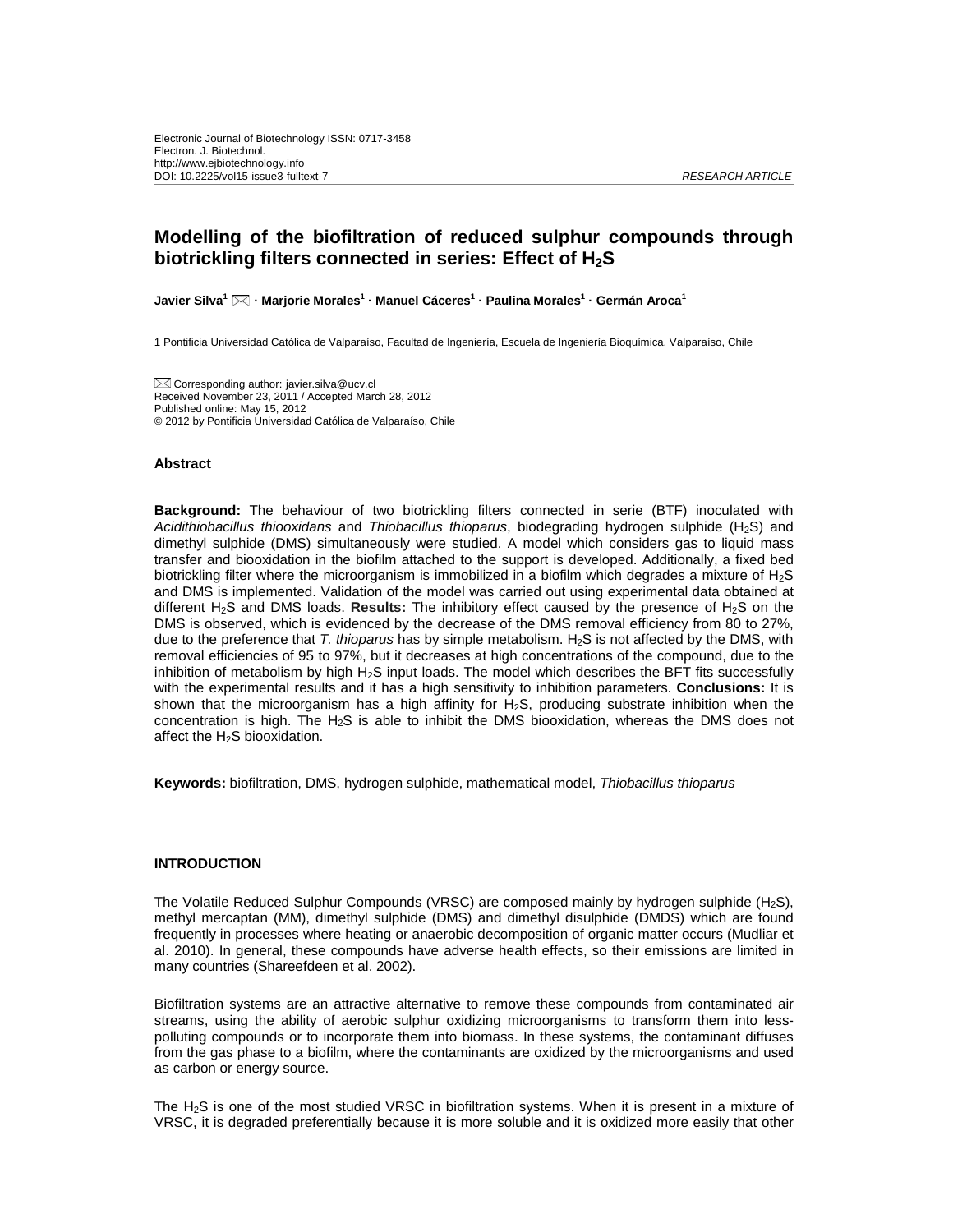## **Modelling of the biofiltration of reduced sulphur compounds through biotrickling filters connected in series: Effect of H<sub>2</sub>S**

**Javier Silva1 · Marjorie Morales1 · Manuel Cáceres1 · Paulina Morales1 · Germán Aroca<sup>1</sup>**

1 Pontificia Universidad Católica de Valparaíso, Facultad de Ingeniería, Escuela de Ingeniería Bioquímica, Valparaíso, Chile

Corresponding author: javier.silva@ucv.cl Received November 23, 2011 / Accepted March 28, 2012 Published online: May 15, 2012 © 2012 by Pontificia Universidad Católica de Valparaíso, Chile

#### **Abstract**

**Background:** The behaviour of two biotrickling filters connected in serie (BTF) inoculated with *Acidithiobacillus thiooxidans* and *Thiobacillus thioparus*, biodegrading hydrogen sulphide (H2S) and dimethyl sulphide (DMS) simultaneously were studied. A model which considers gas to liquid mass transfer and biooxidation in the biofilm attached to the support is developed. Additionally, a fixed bed biotrickling filter where the microorganism is immobilized in a biofilm which degrades a mixture of H2S and DMS is implemented. Validation of the model was carried out using experimental data obtained at different H2S and DMS loads. **Results:** The inhibitory effect caused by the presence of H2S on the DMS is observed, which is evidenced by the decrease of the DMS removal efficiency from 80 to 27%, due to the preference that *T. thioparus* has by simple metabolism. H2S is not affected by the DMS, with removal efficiencies of 95 to 97%, but it decreases at high concentrations of the compound, due to the inhibition of metabolism by high H<sub>2</sub>S input loads. The model which describes the BFT fits successfully with the experimental results and it has a high sensitivity to inhibition parameters. **Conclusions:** It is shown that the microorganism has a high affinity for  $H_2S$ , producing substrate inhibition when the concentration is high. The H2S is able to inhibit the DMS biooxidation, whereas the DMS does not affect the H<sub>2</sub>S biooxidation.

**Keywords:** biofiltration, DMS, hydrogen sulphide, mathematical model, *Thiobacillus thioparus*

## **INTRODUCTION**

The Volatile Reduced Sulphur Compounds (VRSC) are composed mainly by hydrogen sulphide (H2S), methyl mercaptan (MM), dimethyl sulphide (DMS) and dimethyl disulphide (DMDS) which are found frequently in processes where heating or anaerobic decomposition of organic matter occurs (Mudliar et al. 2010). In general, these compounds have adverse health effects, so their emissions are limited in many countries (Shareefdeen et al. 2002).

Biofiltration systems are an attractive alternative to remove these compounds from contaminated air streams, using the ability of aerobic sulphur oxidizing microorganisms to transform them into lesspolluting compounds or to incorporate them into biomass. In these systems, the contaminant diffuses from the gas phase to a biofilm, where the contaminants are oxidized by the microorganisms and used as carbon or energy source.

The H<sub>2</sub>S is one of the most studied VRSC in biofiltration systems. When it is present in a mixture of VRSC, it is degraded preferentially because it is more soluble and it is oxidized more easily that other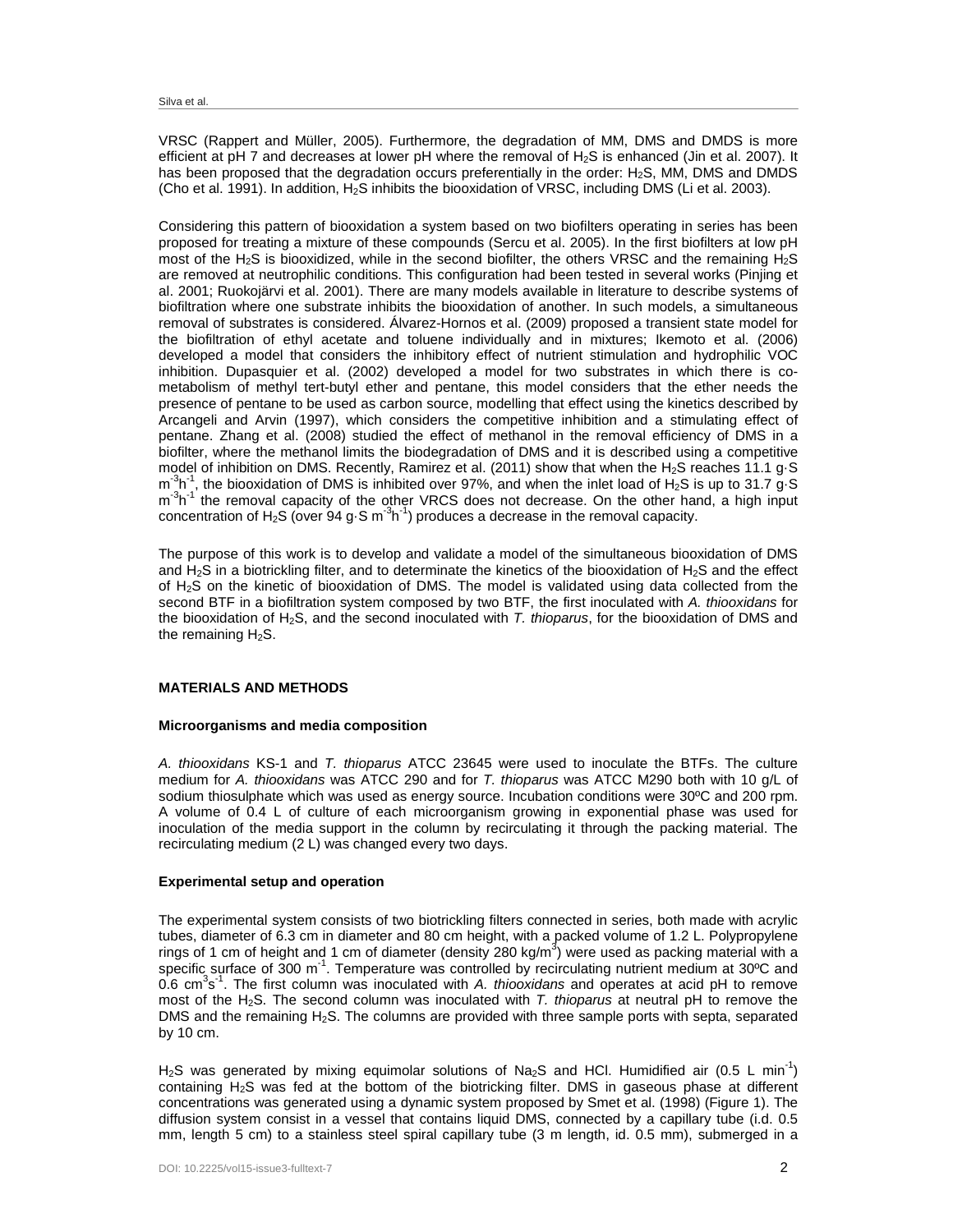VRSC (Rappert and Müller, 2005). Furthermore, the degradation of MM, DMS and DMDS is more efficient at pH 7 and decreases at lower pH where the removal of H2S is enhanced (Jin et al. 2007). It has been proposed that the degradation occurs preferentially in the order: H<sub>2</sub>S, MM, DMS and DMDS (Cho et al. 1991). In addition, H2S inhibits the biooxidation of VRSC, including DMS (Li et al. 2003).

Considering this pattern of biooxidation a system based on two biofilters operating in series has been proposed for treating a mixture of these compounds (Sercu et al. 2005). In the first biofilters at low pH most of the H<sub>2</sub>S is biooxidized, while in the second biofilter, the others VRSC and the remaining H<sub>2</sub>S are removed at neutrophilic conditions. This configuration had been tested in several works (Pinjing et al. 2001; Ruokojärvi et al. 2001). There are many models available in literature to describe systems of biofiltration where one substrate inhibits the biooxidation of another. In such models, a simultaneous removal of substrates is considered. Álvarez-Hornos et al. (2009) proposed a transient state model for the biofiltration of ethyl acetate and toluene individually and in mixtures; Ikemoto et al. (2006) developed a model that considers the inhibitory effect of nutrient stimulation and hydrophilic VOC inhibition. Dupasquier et al. (2002) developed a model for two substrates in which there is cometabolism of methyl tert-butyl ether and pentane, this model considers that the ether needs the presence of pentane to be used as carbon source, modelling that effect using the kinetics described by Arcangeli and Arvin (1997), which considers the competitive inhibition and a stimulating effect of pentane. Zhang et al. (2008) studied the effect of methanol in the removal efficiency of DMS in a biofilter, where the methanol limits the biodegradation of DMS and it is described using a competitive model of inhibition on DMS. Recently, Ramirez et al. (2011) show that when the H<sub>2</sub>S reaches 11.1 g·S  $m<sup>3</sup>h<sup>-1</sup>$ , the biooxidation of DMS is inhibited over 97%, and when the inlet load of H<sub>2</sub>S is up to 31.7 g·S m<sup>-3</sup>h<sup>-1</sup> the removal capacity of the other VRCS does not decrease. On the other hand, a high input concentration of H<sub>2</sub>S (over 94 g $\cdot$ S m<sup>-3</sup>h<sup>-1</sup>) produces a decrease in the removal capacity.

The purpose of this work is to develop and validate a model of the simultaneous biooxidation of DMS and  $H_2S$  in a biotrickling filter, and to determinate the kinetics of the biooxidation of  $H_2S$  and the effect of H2S on the kinetic of biooxidation of DMS. The model is validated using data collected from the second BTF in a biofiltration system composed by two BTF, the first inoculated with *A. thiooxidans* for the biooxidation of H2S, and the second inoculated with *T. thioparus*, for the biooxidation of DMS and the remaining  $H_2S$ .

## **MATERIALS AND METHODS**

#### **Microorganisms and media composition**

*A. thiooxidans* KS-1 and *T. thioparus* ATCC 23645 were used to inoculate the BTFs. The culture medium for *A. thiooxidans* was ATCC 290 and for *T. thioparus* was ATCC M290 both with 10 g/L of sodium thiosulphate which was used as energy source. Incubation conditions were 30ºC and 200 rpm. A volume of 0.4 L of culture of each microorganism growing in exponential phase was used for inoculation of the media support in the column by recirculating it through the packing material. The recirculating medium (2 L) was changed every two days.

#### **Experimental setup and operation**

The experimental system consists of two biotrickling filters connected in series, both made with acrylic tubes, diameter of 6.3 cm in diameter and 80 cm height, with a packed volume of 1.2 L. Polypropylene rings of 1 cm of height and 1 cm of diameter (density 280 kg/m<sup>3</sup>) were used as packing material with a specific surface of 300 m<sup>-1</sup>. Temperature was controlled by recirculating nutrient medium at 30°C and 0.6 cm<sup>3</sup>s<sup>-1</sup>. The first column was inoculated with *A. thiooxidans* and operates at acid pH to remove most of the H2S. The second column was inoculated with *T. thioparus* at neutral pH to remove the DMS and the remaining  $H_2S$ . The columns are provided with three sample ports with septa, separated by 10 cm.

H<sub>2</sub>S was generated by mixing equimolar solutions of Na<sub>2</sub>S and HCI. Humidified air (0.5 L min<sup>-1</sup>) containing  $H_2S$  was fed at the bottom of the biotricking filter. DMS in gaseous phase at different concentrations was generated using a dynamic system proposed by Smet et al. (1998) (Figure 1). The diffusion system consist in a vessel that contains liquid DMS, connected by a capillary tube (i.d. 0.5 mm, length 5 cm) to a stainless steel spiral capillary tube (3 m length, id. 0.5 mm), submerged in a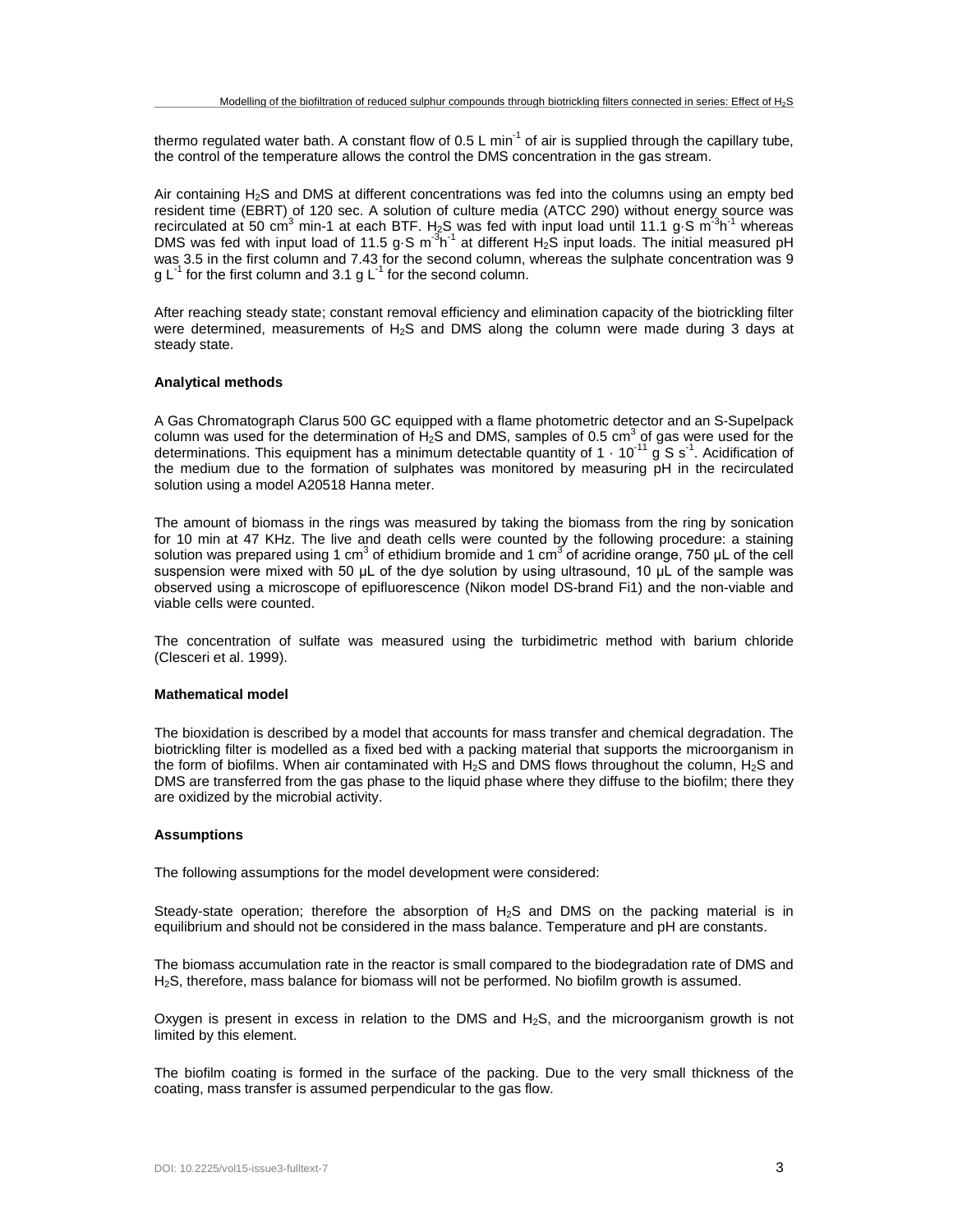thermo regulated water bath. A constant flow of  $0.5 \text{ L min}^{-1}$  of air is supplied through the capillary tube, the control of the temperature allows the control the DMS concentration in the gas stream.

Air containing H2S and DMS at different concentrations was fed into the columns using an empty bed resident time (EBRT) of 120 sec. A solution of culture media (ATCC 290) without energy source was recirculated at 50 cm<sup>3</sup> min-1 at each BTF. H<sub>2</sub>S was fed with input load until 11.1 g $\cdot$ S m<sup>-3</sup>h<sup>-1</sup> whereas DMS was fed with input load of 11.5 g $\cdot$ S m $3h^{-1}$  at different H<sub>2</sub>S input loads. The initial measured pH was 3.5 in the first column and 7.43 for the second column, whereas the sulphate concentration was 9 q  $L^{-1}$  for the first column and 3.1 g  $L^{-1}$  for the second column.

After reaching steady state; constant removal efficiency and elimination capacity of the biotrickling filter were determined, measurements of H2S and DMS along the column were made during 3 days at steady state.

#### **Analytical methods**

A Gas Chromatograph Clarus 500 GC equipped with a flame photometric detector and an S-Supelpack column was used for the determination of H<sub>2</sub>S and DMS, samples of 0.5 cm<sup>3</sup> of gas were used for the determinations. This equipment has a minimum detectable quantity of 1  $\cdot$  10<sup>-11</sup> g S s<sup>-1</sup>. Acidification of the medium due to the formation of sulphates was monitored by measuring pH in the recirculated solution using a model A20518 Hanna meter.

The amount of biomass in the rings was measured by taking the biomass from the ring by sonication for 10 min at 47 KHz. The live and death cells were counted by the following procedure: a staining solution was prepared using 1 cm<sup>3</sup> of ethidium bromide and 1 cm<sup>3</sup> of acridine orange, 750 µL of the cell suspension were mixed with 50 μL of the dye solution by using ultrasound, 10 μL of the sample was observed using a microscope of epifluorescence (Nikon model DS-brand Fi1) and the non-viable and viable cells were counted.

The concentration of sulfate was measured using the turbidimetric method with barium chloride (Clesceri et al. 1999).

#### **Mathematical model**

The bioxidation is described by a model that accounts for mass transfer and chemical degradation. The biotrickling filter is modelled as a fixed bed with a packing material that supports the microorganism in the form of biofilms. When air contaminated with  $H_2S$  and DMS flows throughout the column,  $H_2S$  and DMS are transferred from the gas phase to the liquid phase where they diffuse to the biofilm; there they are oxidized by the microbial activity.

#### **Assumptions**

The following assumptions for the model development were considered:

Steady-state operation; therefore the absorption of  $H_2S$  and DMS on the packing material is in equilibrium and should not be considered in the mass balance. Temperature and pH are constants.

The biomass accumulation rate in the reactor is small compared to the biodegradation rate of DMS and H2S, therefore, mass balance for biomass will not be performed. No biofilm growth is assumed.

Oxygen is present in excess in relation to the DMS and  $H_2S$ , and the microorganism growth is not limited by this element.

The biofilm coating is formed in the surface of the packing. Due to the very small thickness of the coating, mass transfer is assumed perpendicular to the gas flow.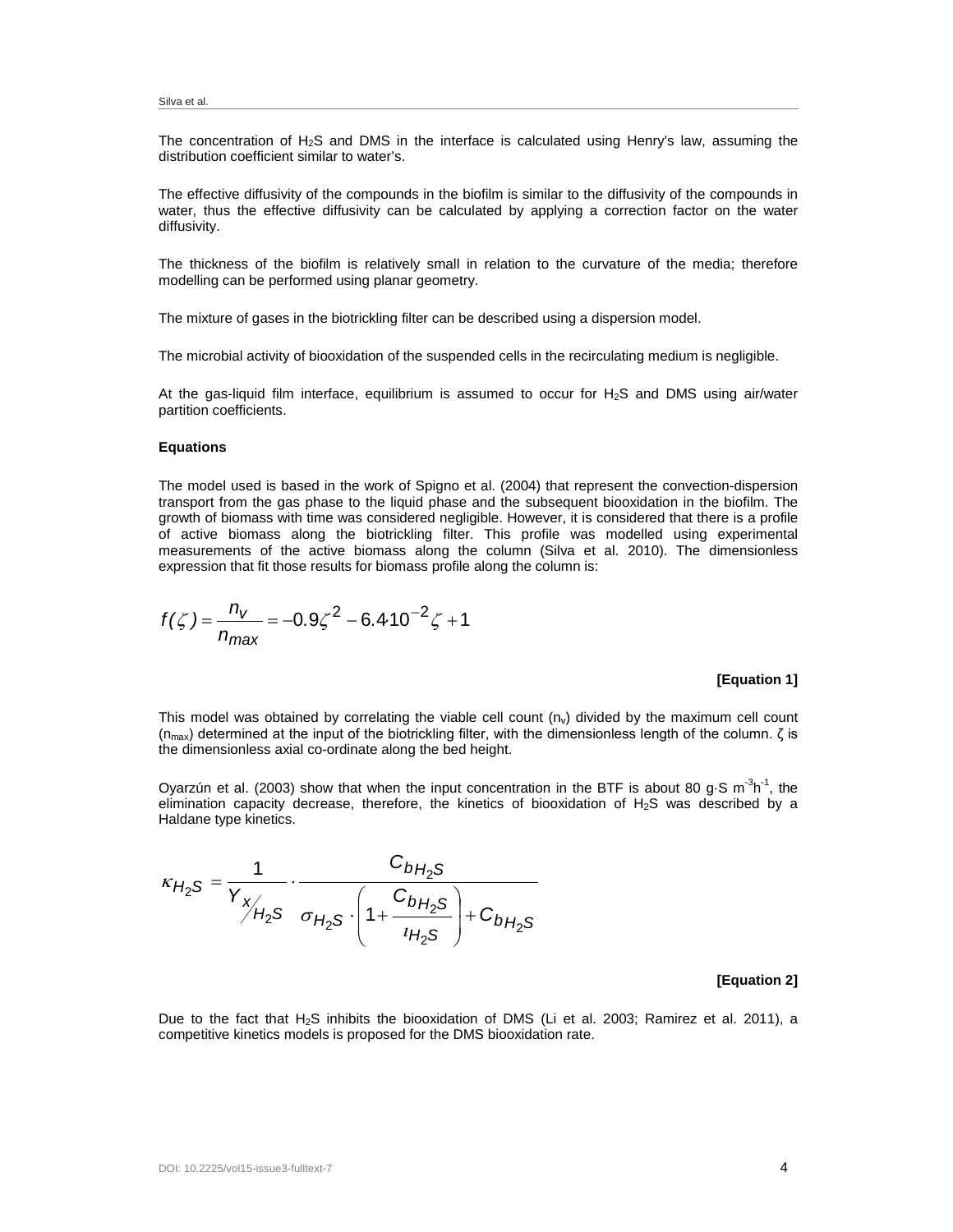The concentration of  $H_2S$  and DMS in the interface is calculated using Henry's law, assuming the distribution coefficient similar to water's.

The effective diffusivity of the compounds in the biofilm is similar to the diffusivity of the compounds in water, thus the effective diffusivity can be calculated by applying a correction factor on the water diffusivity.

The thickness of the biofilm is relatively small in relation to the curvature of the media; therefore modelling can be performed using planar geometry.

The mixture of gases in the biotrickling filter can be described using a dispersion model.

The microbial activity of biooxidation of the suspended cells in the recirculating medium is negligible.

At the gas-liquid film interface, equilibrium is assumed to occur for  $H<sub>2</sub>S$  and DMS using air/water partition coefficients.

#### **Equations**

The model used is based in the work of Spigno et al. (2004) that represent the convection-dispersion transport from the gas phase to the liquid phase and the subsequent biooxidation in the biofilm. The growth of biomass with time was considered negligible. However, it is considered that there is a profile of active biomass along the biotrickling filter. This profile was modelled using experimental measurements of the active biomass along the column (Silva et al. 2010). The dimensionless expression that fit those results for biomass profile along the column is:

$$
f(\zeta) = \frac{n_v}{n_{\text{max}}} = -0.9\zeta^2 - 6.4.10^{-2}\zeta + 1
$$

#### **[Equation 1]**

This model was obtained by correlating the viable cell count  $(n_v)$  divided by the maximum cell count  $(n<sub>max</sub>)$  determined at the input of the biotrickling filter, with the dimensionless length of the column. ζ is the dimensionless axial co-ordinate along the bed height.

Oyarzún et al. (2003) show that when the input concentration in the BTF is about 80 g $\cdot$ S m<sup>-3</sup>h<sup>-1</sup>, the elimination capacity decrease, therefore, the kinetics of biooxidation of  $H_2S$  was described by a Haldane type kinetics.

$$
\kappa_{H_2S} = \frac{1}{Y_{X_{H_2S}}} \cdot \frac{C_{bH_2S}}{\sigma_{H_2S} \cdot \left(1 + \frac{C_{bH_2S}}{U_{H_2S}}\right) + C_{bH_2S}}
$$

## **[Equation 2]**

Due to the fact that H<sub>2</sub>S inhibits the biooxidation of DMS (Li et al. 2003; Ramirez et al. 2011), a competitive kinetics models is proposed for the DMS biooxidation rate.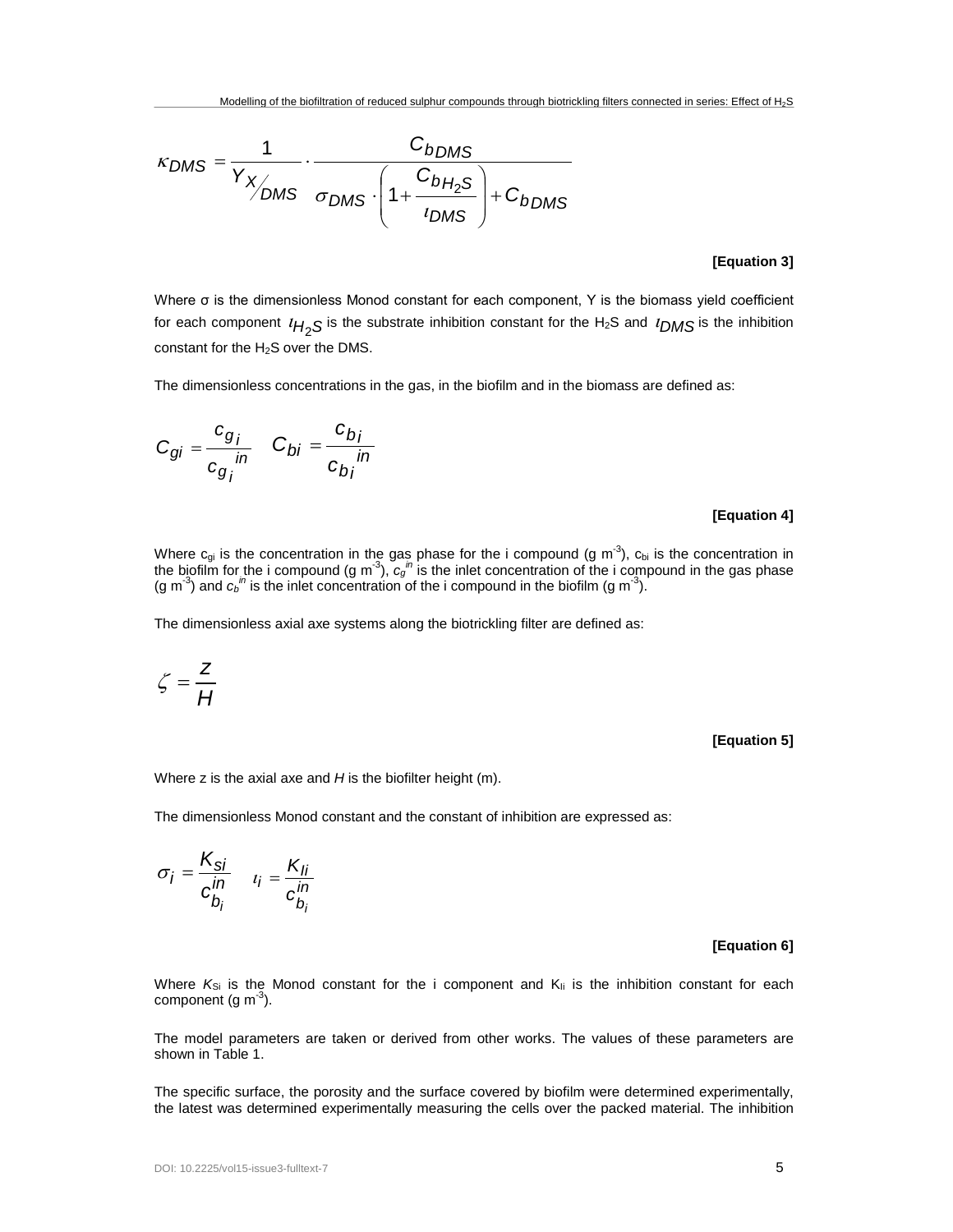$$
\kappa_{DMS} = \frac{1}{Y_{X_{DMS}}} \cdot \frac{C_{bDMS}}{\sigma_{DMS} \cdot \left(1 + \frac{C_{bH_2S}}{I_{DMS}}\right) + C_{bDMS}}
$$

## **[Equation 3]**

Where σ is the dimensionless Monod constant for each component, Y is the biomass yield coefficient for each component <sup>ι</sup>*H*2*S* is the substrate inhibition constant for the H2S and <sup>ι</sup>*DMS* is the inhibition constant for the H<sub>2</sub>S over the DMS.

The dimensionless concentrations in the gas, in the biofilm and in the biomass are defined as:

$$
C_{gi} = \frac{c_{g_i}}{c_{g_i}} \qquad C_{bi} = \frac{c_{b_i}}{c_{b_i}} \qquad
$$

## **[Equation 4]**

Where  $c_{gi}$  is the concentration in the gas phase for the i compound (g m<sup>-3</sup>),  $c_{bi}$  is the concentration in the biofilm for the i compound (g m<sup>-3</sup>),  $c_{gi}$ <sup>"</sup> is the inlet concentration of the i compound in the gas p (g m<sup>-3</sup>) and  $c_b^m$  is the inlet concentration of the i compound in the biofilm (g m<sup>-3</sup>).

The dimensionless axial axe systems along the biotrickling filter are defined as:

$$
\zeta = \frac{z}{H}
$$

**[Equation 5]**

Where z is the axial axe and *H* is the biofilter height (m).

The dimensionless Monod constant and the constant of inhibition are expressed as:

$$
\sigma_i = \frac{K_{si}}{c_{b_i}^{in}} \quad t_i = \frac{K_{li}}{c_{b_i}^{in}}
$$

## **[Equation 6]**

Where  $K_{Si}$  is the Monod constant for the i component and  $K_{li}$  is the inhibition constant for each component (g m $^{-3}$ ).

The model parameters are taken or derived from other works. The values of these parameters are shown in Table 1.

The specific surface, the porosity and the surface covered by biofilm were determined experimentally, the latest was determined experimentally measuring the cells over the packed material. The inhibition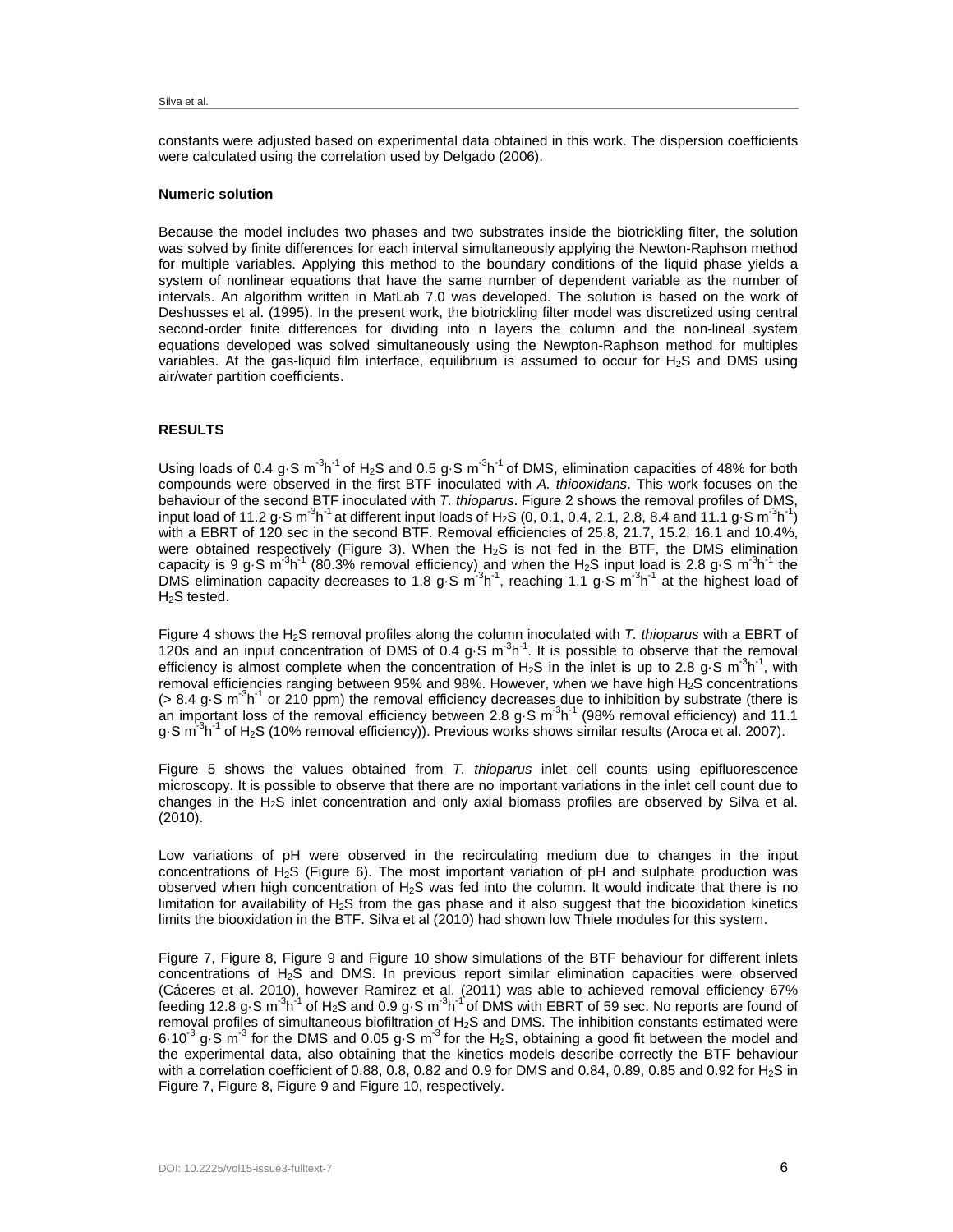constants were adjusted based on experimental data obtained in this work. The dispersion coefficients were calculated using the correlation used by Delgado (2006).

#### **Numeric solution**

Because the model includes two phases and two substrates inside the biotrickling filter, the solution was solved by finite differences for each interval simultaneously applying the Newton-Raphson method for multiple variables. Applying this method to the boundary conditions of the liquid phase yields a system of nonlinear equations that have the same number of dependent variable as the number of intervals. An algorithm written in MatLab 7.0 was developed. The solution is based on the work of Deshusses et al. (1995). In the present work, the biotrickling filter model was discretized using central second-order finite differences for dividing into n layers the column and the non-lineal system equations developed was solved simultaneously using the Newpton-Raphson method for multiples variables. At the gas-liquid film interface, equilibrium is assumed to occur for  $H_2S$  and DMS using air/water partition coefficients.

## **RESULTS**

Using loads of 0.4 g $\cdot$ S m<sup>-3</sup>h<sup>-1</sup> of H<sub>2</sub>S and 0.5 g $\cdot$ S m<sup>-3</sup>h<sup>-1</sup> of DMS, elimination capacities of 48% for both compounds were observed in the first BTF inoculated with *A. thiooxidans*. This work focuses on the behaviour of the second BTF inoculated with *T. thioparus*. Figure 2 shows the removal profiles of DMS, input load of 11.2 g $\cdot$ S m $^{-3}$ h $^{-1}$  at different input loads of H<sub>2</sub>S (0, 0.1, 0.4, 2.1, 2.8, 8.4 and 11.1 g $\cdot$ S m $^{-3}$ h $^{-1}$ ) with a EBRT of 120 sec in the second BTF. Removal efficiencies of 25.8, 21.7, 15.2, 16.1 and 10.4%, were obtained respectively (Figure 3). When the H2S is not fed in the BTF, the DMS elimination capacity is 9 g S m<sup>3</sup>h<sup>-1</sup> (80.3% removal efficiency) and when the H<sub>2</sub>S input load is 2.8 g S m<sup>-3</sup>h<sup>-1</sup> the DMS elimination capacity decreases to 1.8 g $\cdot$ S m<sup>3</sup>h<sup>-1</sup>, reaching 1.1 g $\cdot$ S m<sup>-3</sup>h<sup>-1</sup> at the highest load of H<sub>2</sub>S tested.

Figure 4 shows the H2S removal profiles along the column inoculated with *T. thioparus* with a EBRT of 120s and an input concentration of DMS of 0.4  $g \cdot S$  m<sup>-3</sup>h<sup>-1</sup>. It is possible to observe that the removal efficiency is almost complete when the concentration of  $H_2S$  in the inlet is up to 2.8 g $\cdot$ S m<sup>-3</sup>h<sup>-1</sup>, with removal efficiencies ranging between 95% and 98%. However, when we have high H2S concentrations  $($  > 8.4 g⋅S m<sup>-3</sup>h<sup>-1</sup> or 210 ppm) the removal efficiency decreases due to inhibition by substrate (there is an important loss of the removal efficiency between 2.8 g S  $\text{m}^3\text{h}^1$  (98% removal efficiency) and 11.1 g $\cdot$ S m $^{-3}$ h $^{-1}$  of H $_2$ S (10% removal efficiency)). Previous works shows similar results (Aroca et al. 2007).

Figure 5 shows the values obtained from *T. thioparus* inlet cell counts using epifluorescence microscopy. It is possible to observe that there are no important variations in the inlet cell count due to changes in the  $H_2S$  inlet concentration and only axial biomass profiles are observed by Silva et al. (2010).

Low variations of pH were observed in the recirculating medium due to changes in the input concentrations of H<sub>2</sub>S (Figure 6). The most important variation of pH and sulphate production was observed when high concentration of  $H_2S$  was fed into the column. It would indicate that there is no limitation for availability of  $H_2S$  from the gas phase and it also suggest that the biooxidation kinetics limits the biooxidation in the BTF. Silva et al (2010) had shown low Thiele modules for this system.

Figure 7, Figure 8, Figure 9 and Figure 10 show simulations of the BTF behaviour for different inlets concentrations of H2S and DMS. In previous report similar elimination capacities were observed (Cáceres et al. 2010), however Ramirez et al. (2011) was able to achieved removal efficiency 67% feeding 12.8 g $\cdot$ S m $^3$ h $^1$  of H<sub>2</sub>S and 0.9 g $\cdot$ S m $^3$ h $^1$ of DMS with EBRT of 59 sec. No reports are found of removal profiles of simultaneous biofiltration of H2S and DMS. The inhibition constants estimated were 6.10<sup>-3</sup> g·S m<sup>-3</sup> for the DMS and 0.05 g·S m<sup>-3</sup> for the H<sub>2</sub>S, obtaining a good fit between the model and the experimental data, also obtaining that the kinetics models describe correctly the BTF behaviour with a correlation coefficient of 0.88, 0.8, 0.82 and 0.9 for DMS and 0.84, 0.89, 0.85 and 0.92 for H<sub>2</sub>S in Figure 7, Figure 8, Figure 9 and Figure 10, respectively.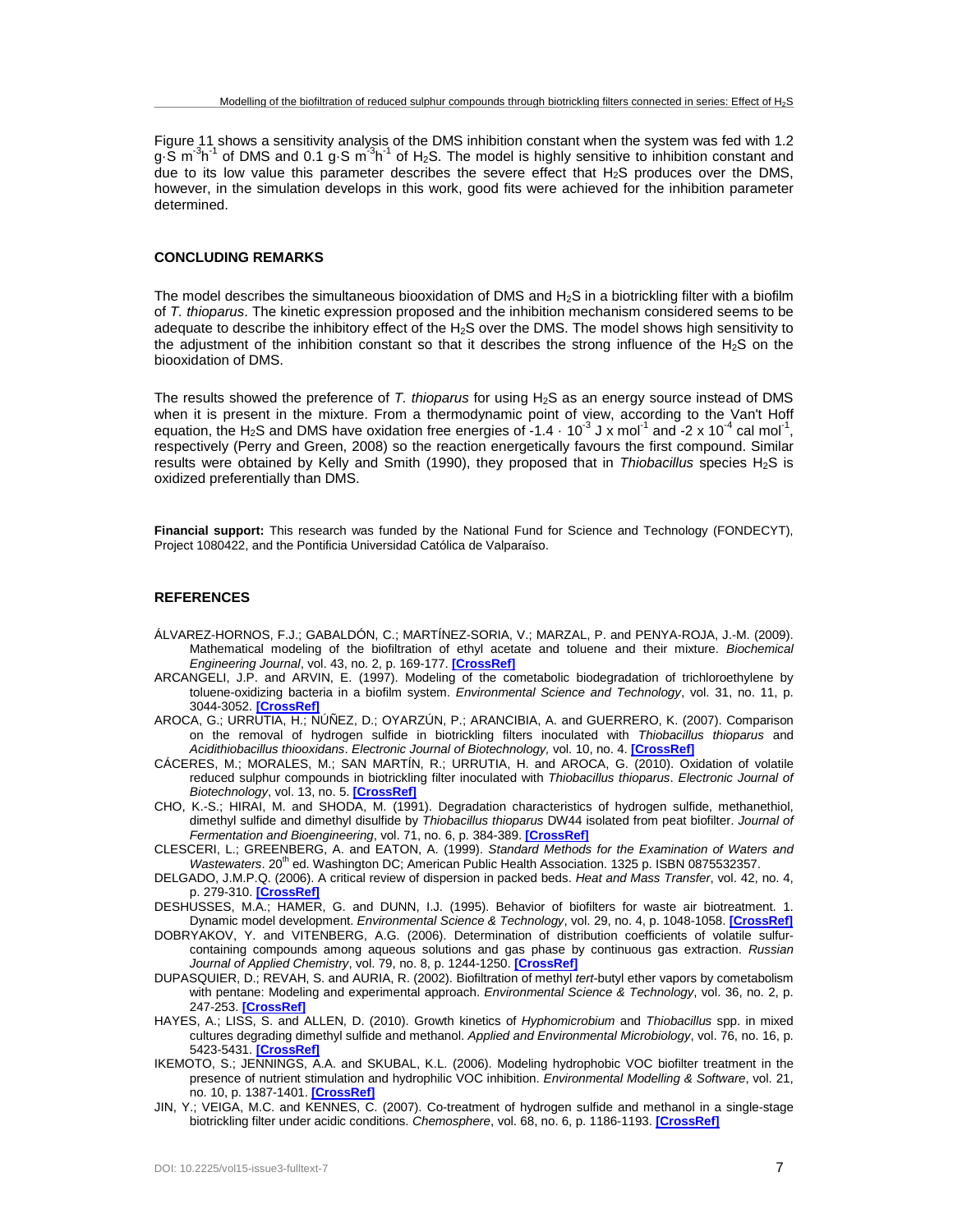Figure 11 shows a sensitivity analysis of the DMS inhibition constant when the system was fed with 1.2 g $\cdot$ S m<sup>-3</sup>h<sup>-1</sup> of DMS and 0.1 g $\cdot$ S m<sup>-3</sup>h<sup>-1</sup> of H<sub>2</sub>S. The model is highly sensitive to inhibition constant and due to its low value this parameter describes the severe effect that H2S produces over the DMS, however, in the simulation develops in this work, good fits were achieved for the inhibition parameter determined.

#### **CONCLUDING REMARKS**

The model describes the simultaneous biooxidation of DMS and H2S in a biotrickling filter with a biofilm of *T. thioparus*. The kinetic expression proposed and the inhibition mechanism considered seems to be adequate to describe the inhibitory effect of the  $H_2S$  over the DMS. The model shows high sensitivity to the adjustment of the inhibition constant so that it describes the strong influence of the  $H_2S$  on the biooxidation of DMS.

The results showed the preference of *T. thioparus* for using H2S as an energy source instead of DMS when it is present in the mixture. From a thermodynamic point of view, according to the Van't Hoff equation, the H<sub>2</sub>S and DMS have oxidation free energies of -1.4  $\cdot$  10<sup>-3</sup> J x mol<sup>-1</sup> and -2 x 10<sup>-4</sup> cal mol<sup>-1</sup>, respectively (Perry and Green, 2008) so the reaction energetically favours the first compound. Similar results were obtained by Kelly and Smith (1990), they proposed that in *Thiobacillus* species H2S is oxidized preferentially than DMS.

**Financial support:** This research was funded by the National Fund for Science and Technology (FONDECYT), Project 1080422, and the Pontificia Universidad Católica de Valparaíso.

## **REFERENCES**

- ÁLVAREZ-HORNOS, F.J.; GABALDÓN, C.; MARTÍNEZ-SORIA, V.; MARZAL, P. and PENYA-ROJA, J.-M. (2009). Mathematical modeling of the biofiltration of ethyl acetate and toluene and their mixture. *Biochemical Engineering Journal*, vol. 43, no. 2, p. 169-177. **[\[CrossRef\]](http://dx.doi.org/10.1016/j.bej.2008.09.014)**
- ARCANGELI, J.P. and ARVIN, E. (1997). Modeling of the cometabolic biodegradation of trichloroethylene by toluene-oxidizing bacteria in a biofilm system. *Environmental Science and Technology*, vol. 31, no. 11, p. 3044-3052. **[\[CrossRef\]](http://dx.doi.org/10.1021/es9609112)**
- AROCA, G.; URRUTIA, H.; NÚÑEZ, D.; OYARZÚN, P.; ARANCIBIA, A. and GUERRERO, K. (2007). Comparison on the removal of hydrogen sulfide in biotrickling filters inoculated with *Thiobacillus thioparus* and *Acidithiobacillus thiooxidans*. *Electronic Journal of Biotechnology,* vol. 10, no. 4. **[\[CrossRef\]](http://dx.doi.org/10.2225/vol10-issue4-fulltext-6)**
- CÁCERES, M.; MORALES, M.; SAN MARTÍN, R.; URRUTIA, H. and AROCA, G. (2010). Oxidation of volatile reduced sulphur compounds in biotrickling filter inoculated with *Thiobacillus thioparus*. *Electronic Journal of Biotechnology*, vol. 13, no. 5. **[\[CrossRef\]](http://dx.doi.org/10.2225/vol13-issue5-fulltext-9)**
- CHO, K.-S.; HIRAI, M. and SHODA, M. (1991). Degradation characteristics of hydrogen sulfide, methanethiol, dimethyl sulfide and dimethyl disulfide by *Thiobacillus thioparus* DW44 isolated from peat biofilter. *Journal of Fermentation and Bioengineering*, vol. 71, no. 6, p. 384-389. **[\[CrossRef\]](http://dx.doi.org/10.1016/0922-338X(91)90248-F)**
- CLESCERI, L.; GREENBERG, A. and EATON, A. (1999). *Standard Methods for the Examination of Waters and Wastewaters.* 20<sup>th</sup> ed. Washington DC; American Public Health Association. 1325 p. ISBN 0875532357.
- DELGADO, J.M.P.Q. (2006). A critical review of dispersion in packed beds. *Heat and Mass Transfer*, vol. 42, no. 4, p. 279-310. **[\[CrossRef\]](http://dx.doi.org/10.1007/s00231-005-0019-0)**
- DESHUSSES, M.A.; HAMER, G. and DUNN, I.J. (1995). Behavior of biofilters for waste air biotreatment. 1. Dynamic model development. *Environmental Science & Technology*, vol. 29, no. 4, p. 1048-1058. **[\[CrossRef\]](http://dx.doi.org/10.1021/es00004a027)**
- DOBRYAKOV, Y. and VITENBERG, A.G. (2006). Determination of distribution coefficients of volatile sulfurcontaining compounds among aqueous solutions and gas phase by continuous gas extraction. *Russian Journal of Applied Chemistry*, vol. 79, no. 8, p. 1244-1250. **[\[CrossRef\]](http://dx.doi.org/10.1134/S1070427206080064)**
- DUPASQUIER, D.; REVAH, S. and AURIA, R. (2002). Biofiltration of methyl *tert*-butyl ether vapors by cometabolism with pentane: Modeling and experimental approach. *Environmental Science & Technology*, vol. 36, no. 2, p. 247-253. **[\[CrossRef\]](http://dx.doi.org/10.1021/es010942j)**
- HAYES, A.; LISS, S. and ALLEN, D. (2010). Growth kinetics of *Hyphomicrobium* and *Thiobacillus* spp. in mixed cultures degrading dimethyl sulfide and methanol. *Applied and Environmental Microbiology*, vol. 76, no. 16, p. 5423-5431. **[\[CrossRef\]](http://dx.doi.org/10.1128/AEM.00076-10)**
- IKEMOTO, S.; JENNINGS, A.A. and SKUBAL, K.L. (2006). Modeling hydrophobic VOC biofilter treatment in the presence of nutrient stimulation and hydrophilic VOC inhibition. *Environmental Modelling & Software*, vol. 21, no. 10, p. 1387-1401. **[\[CrossRef\]](http://dx.doi.org/10.1016/j.envsoft.2005.07.001)**
- JIN, Y.; VEIGA, M.C. and KENNES, C. (2007). Co-treatment of hydrogen sulfide and methanol in a single-stage biotrickling filter under acidic conditions. *Chemosphere*, vol. 68, no. 6, p. 1186-1193. **[\[CrossRef\]](http://dx.doi.org/10.1016/j.chemosphere.2007.01.069)**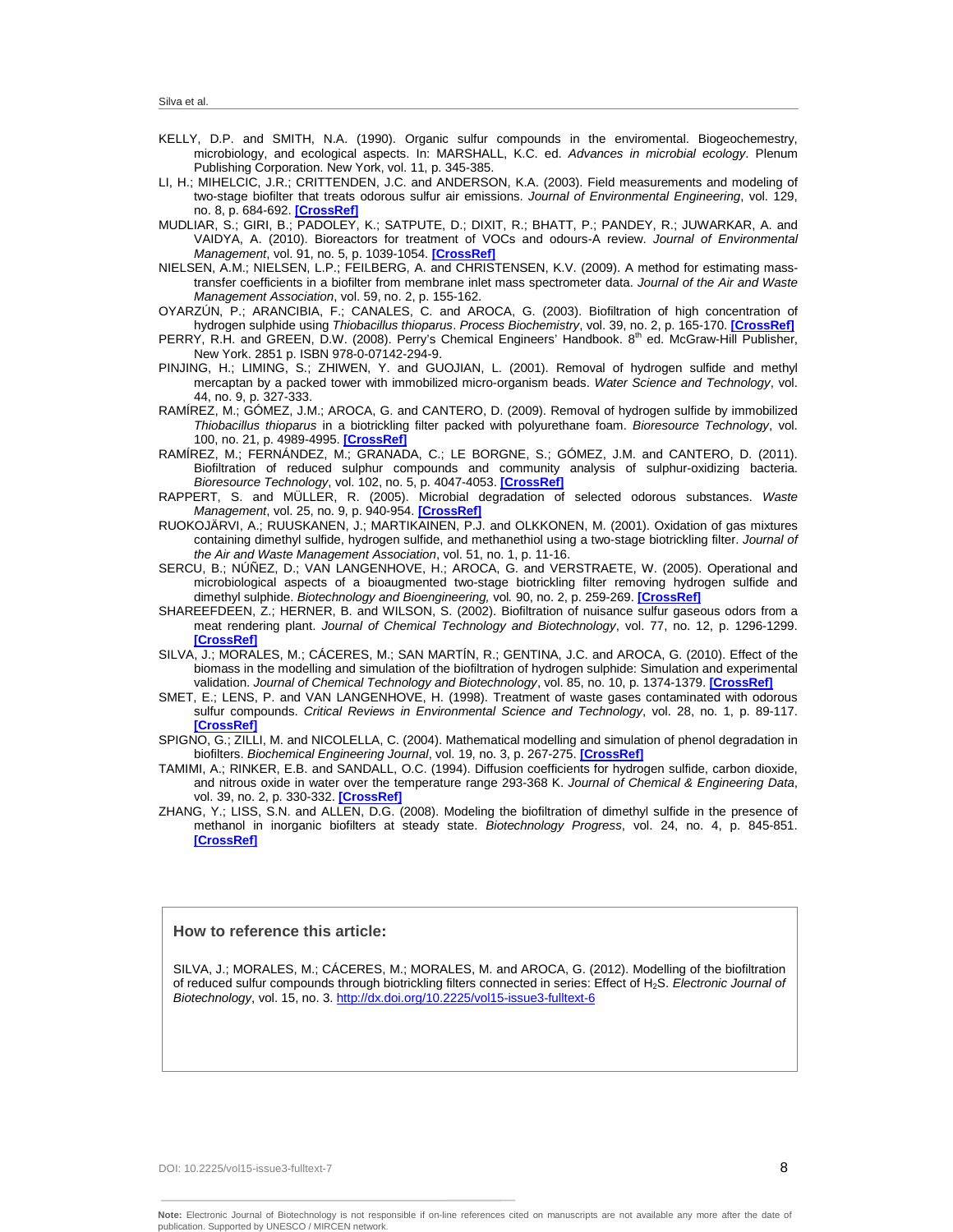- KELLY, D.P. and SMITH, N.A. (1990). Organic sulfur compounds in the enviromental. Biogeochemestry, microbiology, and ecological aspects. In: MARSHALL, K.C. ed. *Advances in microbial ecology*. Plenum Publishing Corporation. New York, vol. 11, p. 345-385.
- LI, H.; MIHELCIC, J.R.; CRITTENDEN, J.C. and ANDERSON, K.A. (2003). Field measurements and modeling of two-stage biofilter that treats odorous sulfur air emissions. *Journal of Environmental Engineering*, vol. 129, no. 8, p. 684-692. **[\[CrossRef\]](http://dx.doi.org/10.1061/(ASCE)0733-9372(2003)129:8(684))**
- MUDLIAR, S.; GIRI, B.; PADOLEY, K.; SATPUTE, D.; DIXIT, R.; BHATT, P.; PANDEY, R.; JUWARKAR, A. and VAIDYA, A. (2010). Bioreactors for treatment of VOCs and odours-A review. *Journal of Environmental Management*, vol. 91, no. 5, p. 1039-1054. **[\[CrossRef\]](http://dx.doi.org/10.1016/j.jenvman.2010.01.006)**
- NIELSEN, A.M.; NIELSEN, L.P.; FEILBERG, A. and CHRISTENSEN, K.V. (2009). A method for estimating masstransfer coefficients in a biofilter from membrane inlet mass spectrometer data. *Journal of the Air and Waste Management Association*, vol. 59, no. 2, p. 155-162.
- OYARZÚN, P.; ARANCIBIA, F.; CANALES, C. and AROCA, G. (2003). Biofiltration of high concentration of hydrogen sulphide using *Thiobacillus thioparus*. *Process Biochemistry*, vol. 39, no. 2, p. 165-170. **[\[CrossRef\]](http://dx.doi.org/10.1016/S0032-9592(03)00050-5)**
- PERRY, R.H. and GREEN, D.W. (2008). Perry's Chemical Engineers' Handbook. 8<sup>th</sup> ed. McGraw-Hill Publisher, New York. 2851 p. ISBN 978-0-07142-294-9.
- PINJING, H.; LIMING, S.; ZHIWEN, Y. and GUOJIAN, L. (2001). Removal of hydrogen sulfide and methyl mercaptan by a packed tower with immobilized micro-organism beads. *Water Science and Technology*, vol. 44, no. 9, p. 327-333.
- RAMÍREZ, M.; GÓMEZ, J.M.; AROCA, G. and CANTERO, D. (2009). Removal of hydrogen sulfide by immobilized *Thiobacillus thioparus* in a biotrickling filter packed with polyurethane foam. *Bioresource Technology*, vol. 100, no. 21, p. 4989-4995. **[\[CrossRef\]](http://dx.doi.org/10.1016/j.biortech.2009.05.022)**
- RAMÍREZ, M.; FERNÁNDEZ, M.; GRANADA, C.; LE BORGNE, S.; GÓMEZ, J.M. and CANTERO, D. (2011). Biofiltration of reduced sulphur compounds and community analysis of sulphur-oxidizing bacteria. *Bioresource Technology*, vol. 102, no. 5, p. 4047-4053. **[\[CrossRef\]](http://dx.doi.org/10.1016/j.biortech.2010.12.018)**
- RAPPERT, S. and MÜLLER, R. (2005). Microbial degradation of selected odorous substances. *Waste Management*, vol. 25, no. 9, p. 940-954. **[\[CrossRef\]](http://dx.doi.org/10.1016/j.wasman.2005.07.015)**
- RUOKOJÄRVI, A.; RUUSKANEN, J.; MARTIKAINEN, P.J. and OLKKONEN, M. (2001). Oxidation of gas mixtures containing dimethyl sulfide, hydrogen sulfide, and methanethiol using a two-stage biotrickling filter. *Journal of the Air and Waste Management Association*, vol. 51, no. 1, p. 11-16.
- SERCU, B.; NÚÑEZ, D.; VAN LANGENHOVE, H.; AROCA, G. and VERSTRAETE, W. (2005). Operational and microbiological aspects of a bioaugmented two-stage biotrickling filter removing hydrogen sulfide and dimethyl sulphide. *Biotechnology and Bioengineering,* vol*.* 90, no. 2, p. 259-269. **[\[CrossRef\]](http://dx.doi.org/10.1002/bit.20443)**
- SHAREEFDEEN, Z.; HERNER, B. and WILSON, S. (2002). Biofiltration of nuisance sulfur gaseous odors from a meat rendering plant. *Journal of Chemical Technology and Biotechnology*, vol. 77, no. 12, p. 1296-1299. **[\[CrossRef\]](http://dx.doi.org/10.1002/jctb.709)**
- SILVA, J.; MORALES, M.; CÁCERES, M.; SAN MARTÍN, R.; GENTINA, J.C. and AROCA, G. (2010). Effect of the biomass in the modelling and simulation of the biofiltration of hydrogen sulphide: Simulation and experimental validation. *Journal of Chemical Technology and Biotechnology*, vol. 85, no. 10, p. 1374-1379. **[\[CrossRef\]](http://dx.doi.org/10.1002/jctb.2443)**
- SMET, E.; LENS, P. and VAN LANGENHOVE, H. (1998). Treatment of waste gases contaminated with odorous sulfur compounds. *Critical Reviews in Environmental Science and Technology*, vol. 28, no. 1, p. 89-117. **[\[CrossRef\]](http://dx.doi.org/10.1080/10643389891254179)**
- SPIGNO, G.; ZILLI, M. and NICOLELLA, C. (2004). Mathematical modelling and simulation of phenol degradation in biofilters. *Biochemical Engineering Journal*, vol. 19, no. 3, p. 267-275. **[\[CrossRef\]](http://dx.doi.org/10.1016/j.bej.2004.02.007)**
- TAMIMI, A.; RINKER, E.B. and SANDALL, O.C. (1994). Diffusion coefficients for hydrogen sulfide, carbon dioxide, and nitrous oxide in water over the temperature range 293-368 K. *Journal of Chemical & Engineering Data*, vol. 39, no. 2, p. 330-332. **[\[CrossRef\]](http://dx.doi.org/10.1021/je00014a031)**
- ZHANG, Y.; LISS, S.N. and ALLEN, D.G. (2008). Modeling the biofiltration of dimethyl sulfide in the presence of methanol in inorganic biofilters at steady state. *Biotechnology Progress*, vol. 24, no. 4, p. 845-851. **[\[CrossRef\]](http://dx.doi.org/10.1021/bp0703376)**

## **How to reference this article:**

SILVA, J.; MORALES, M.; CÁCERES, M.; MORALES, M. and AROCA, G. (2012). Modelling of the biofiltration of reduced sulfur compounds through biotrickling filters connected in series: Effect of H2S. *Electronic Journal of Biotechnology*, vol. 15, no. 3[. http://dx.doi.org/10.2225/vol15-issue3-fulltext-6](http://dx.doi.org/10.2225/vol15-issue3-fulltext-6)

DOI: 10.2225/vol15-issue3-fulltext-7 8

**Note:** Electronic Journal of Biotechnology is not responsible if on-line references cited on manuscripts are not available any more after the date of publication. Supported by UNESCO / MIRCEN network.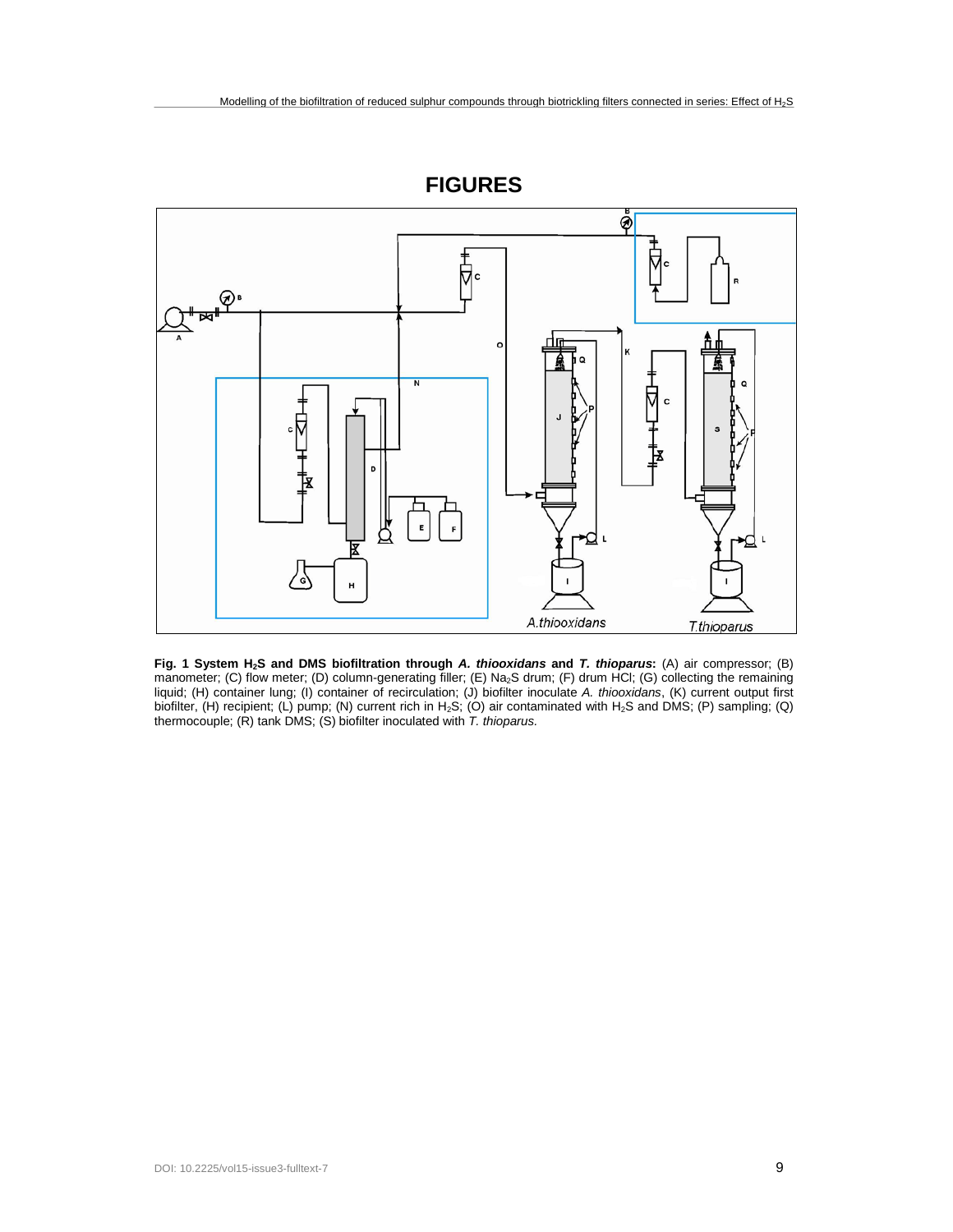

**Fig. 1 System H2S and DMS biofiltration through** *A. thiooxidans* **and** *T. thioparus***:** (A) air compressor; (B) manometer; (C) flow meter; (D) column-generating filler; (E) Na<sub>2</sub>S drum; (F) drum HCl; (G) collecting the remaining liquid; (H) container lung; (I) container of recirculation; (J) biofilter inoculate *A. thiooxidans*, (K) current output first biofilter, (H) recipient; (L) pump; (N) current rich in H<sub>2</sub>S; (O) air contaminated with H<sub>2</sub>S and DMS; (P) sampling; (Q) thermocouple; (R) tank DMS; (S) biofilter inoculated with *T. thioparus.*

**FIGURES**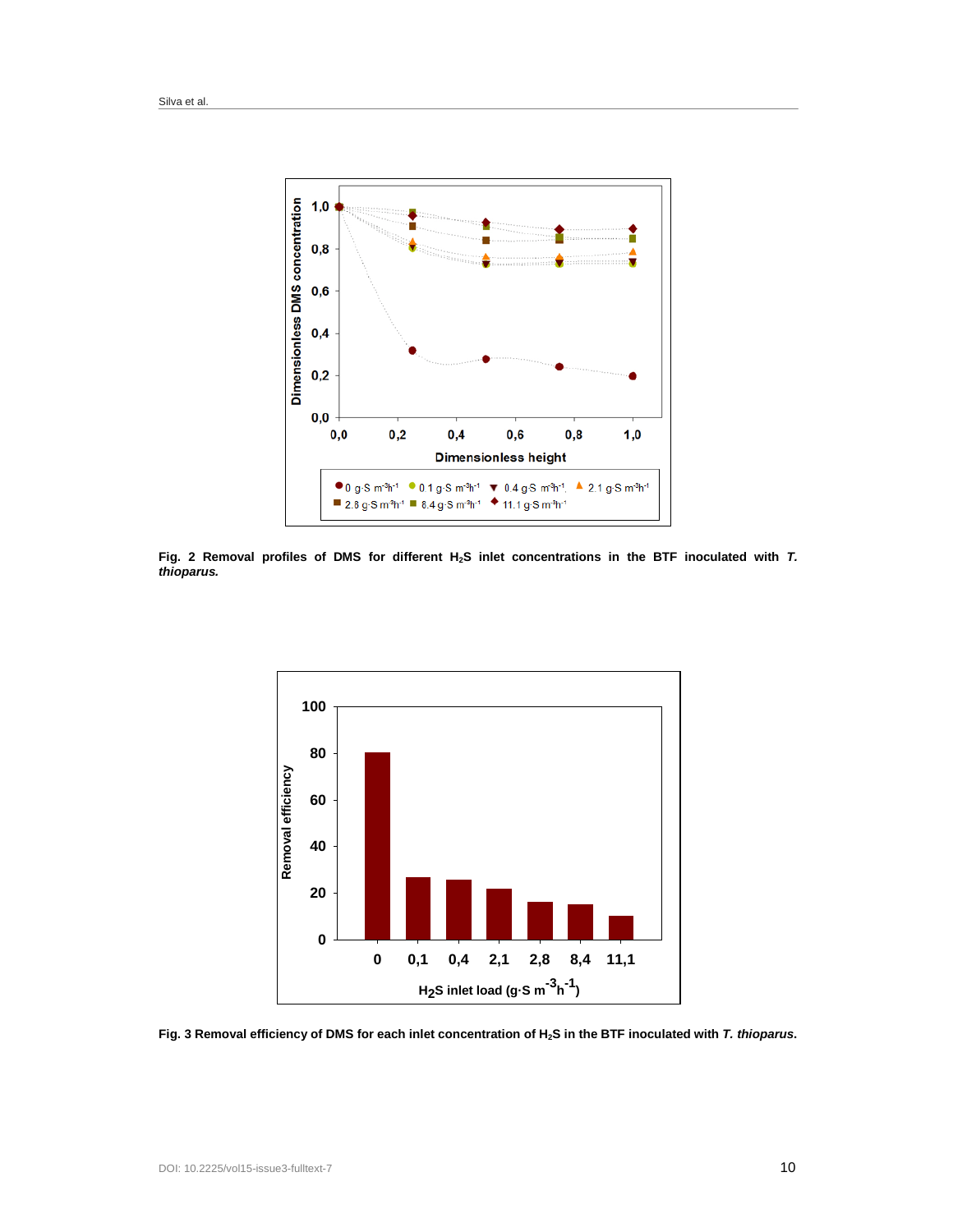

Fig. 2 Removal profiles of DMS for different H<sub>2</sub>S inlet concentrations in the BTF inoculated with *T*. *thioparus.*



**Fig. 3 Removal efficiency of DMS for each inlet concentration of H2S in the BTF inoculated with** *T. thioparus***.**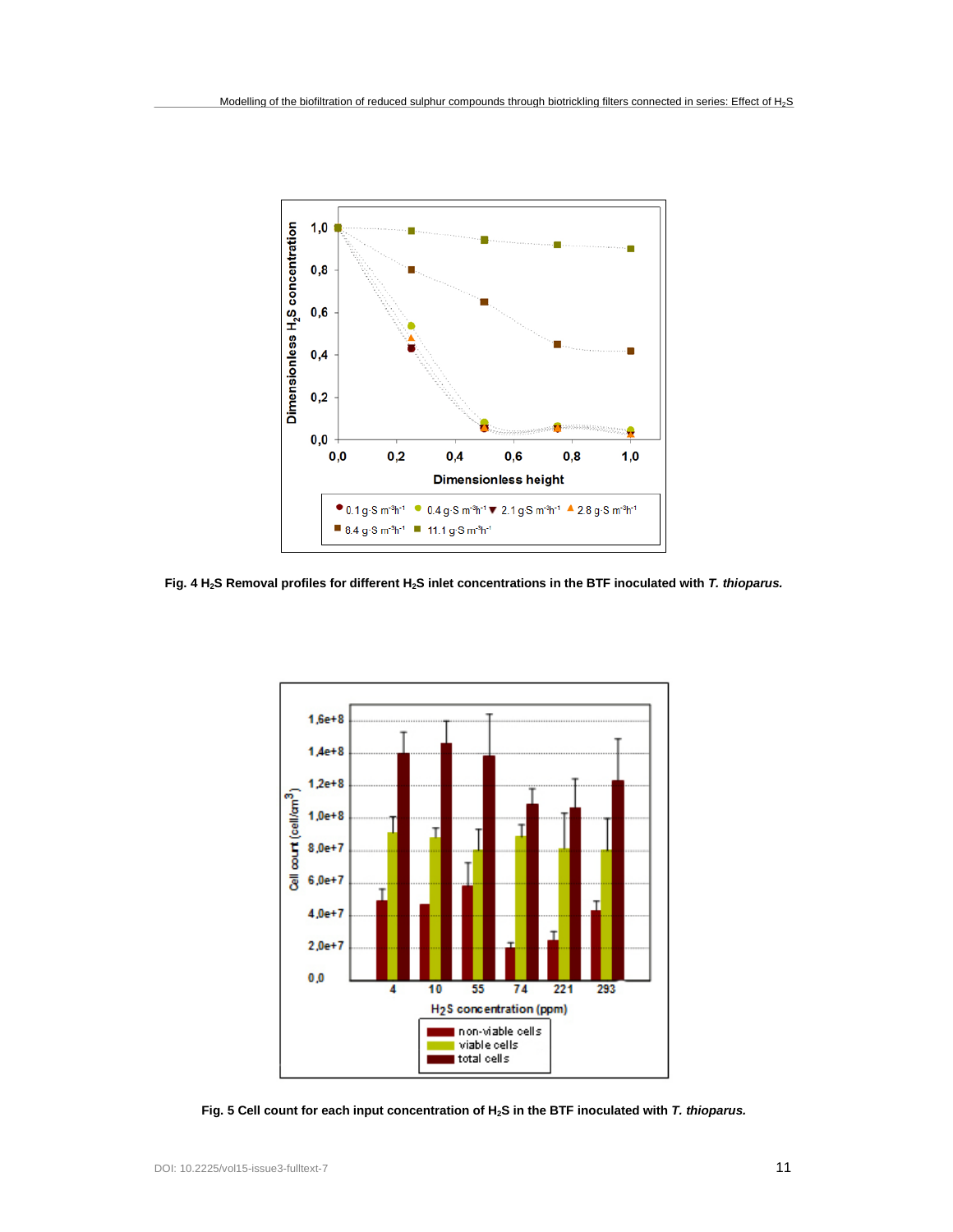

**Fig. 4 H2S Removal profiles for different H2S inlet concentrations in the BTF inoculated with** *T. thioparus.*



**Fig. 5 Cell count for each input concentration of H2S in the BTF inoculated with** *T. thioparus.*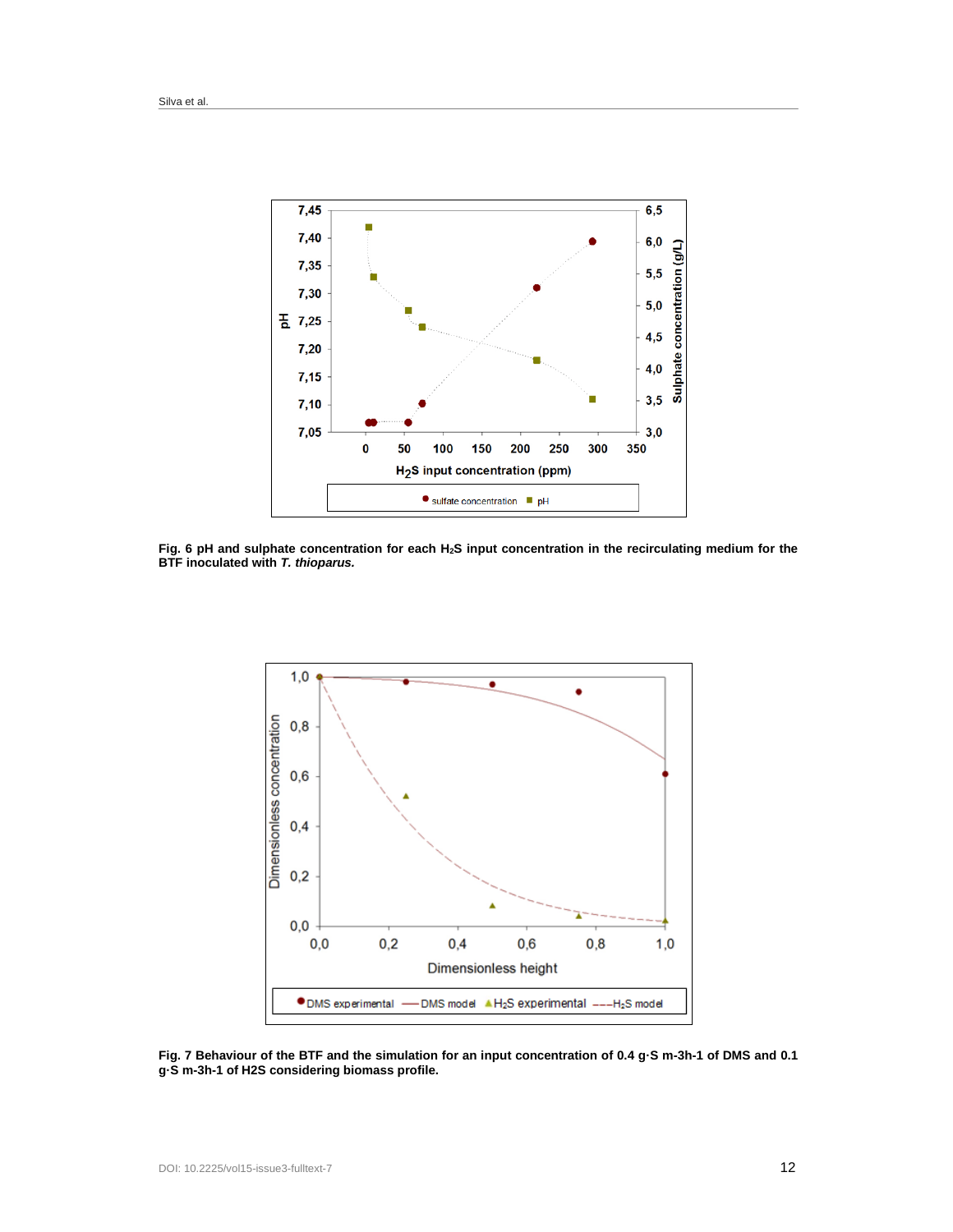

Fig. 6 pH and sulphate concentration for each H<sub>2</sub>S input concentration in the recirculating medium for the **BTF inoculated with** *T. thioparus.*



**Fig. 7 Behaviour of the BTF and the simulation for an input concentration of 0.4 g·S m-3h-1 of DMS and 0.1 g·S m-3h-1 of H2S considering biomass profile.**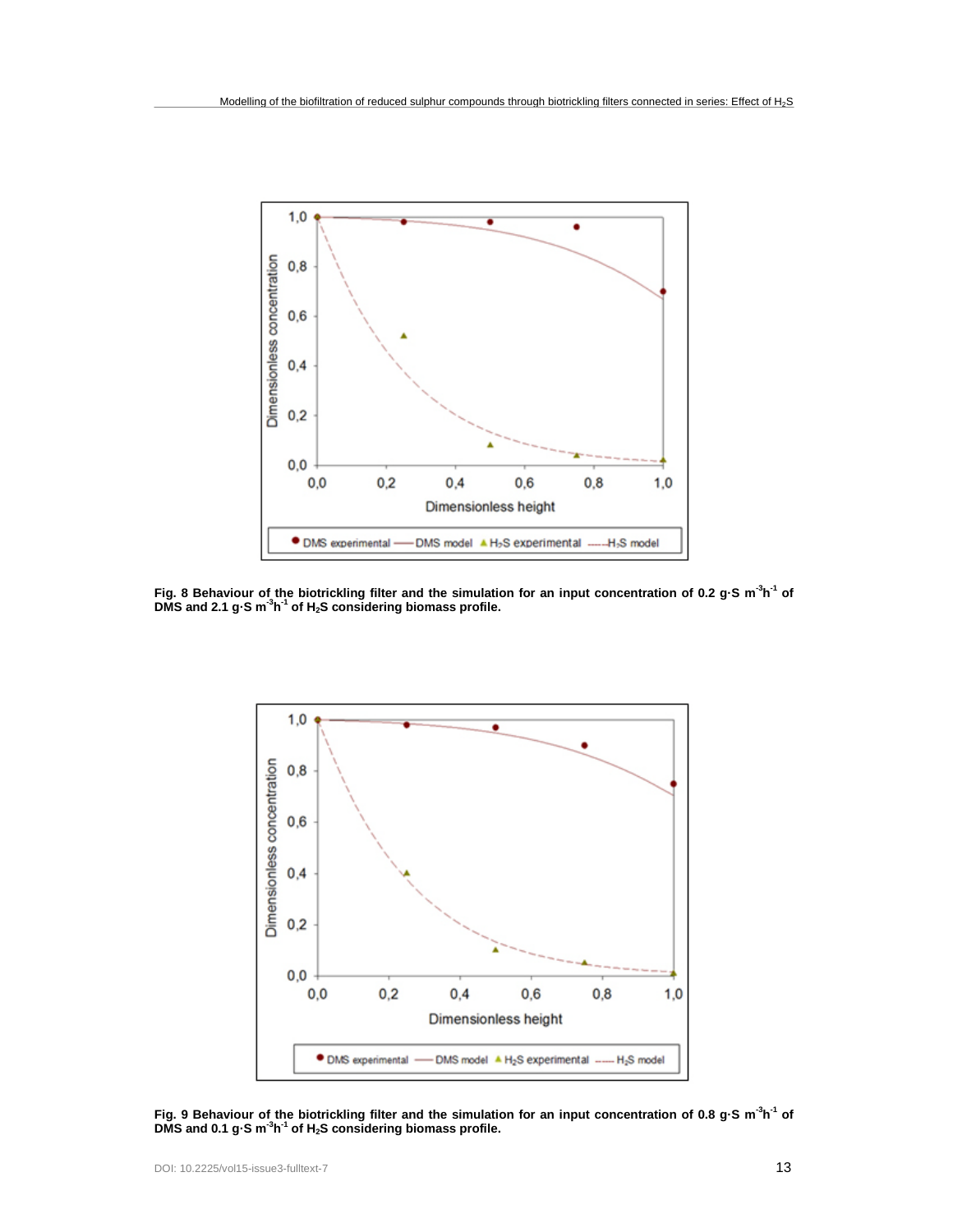

**Fig. 8 Behaviour of the biotrickling filter and the simulation for an input concentration of 0.2 g·S m-3 h-1 of DMS and 2.1 g·S m-3 h-1 of H2S considering biomass profile.**



**Fig. 9 Behaviour of the biotrickling filter and the simulation for an input concentration of 0.8 g·S m-3 h-1 of DMS and 0.1 g·S m-3 h-1 of H2S considering biomass profile.**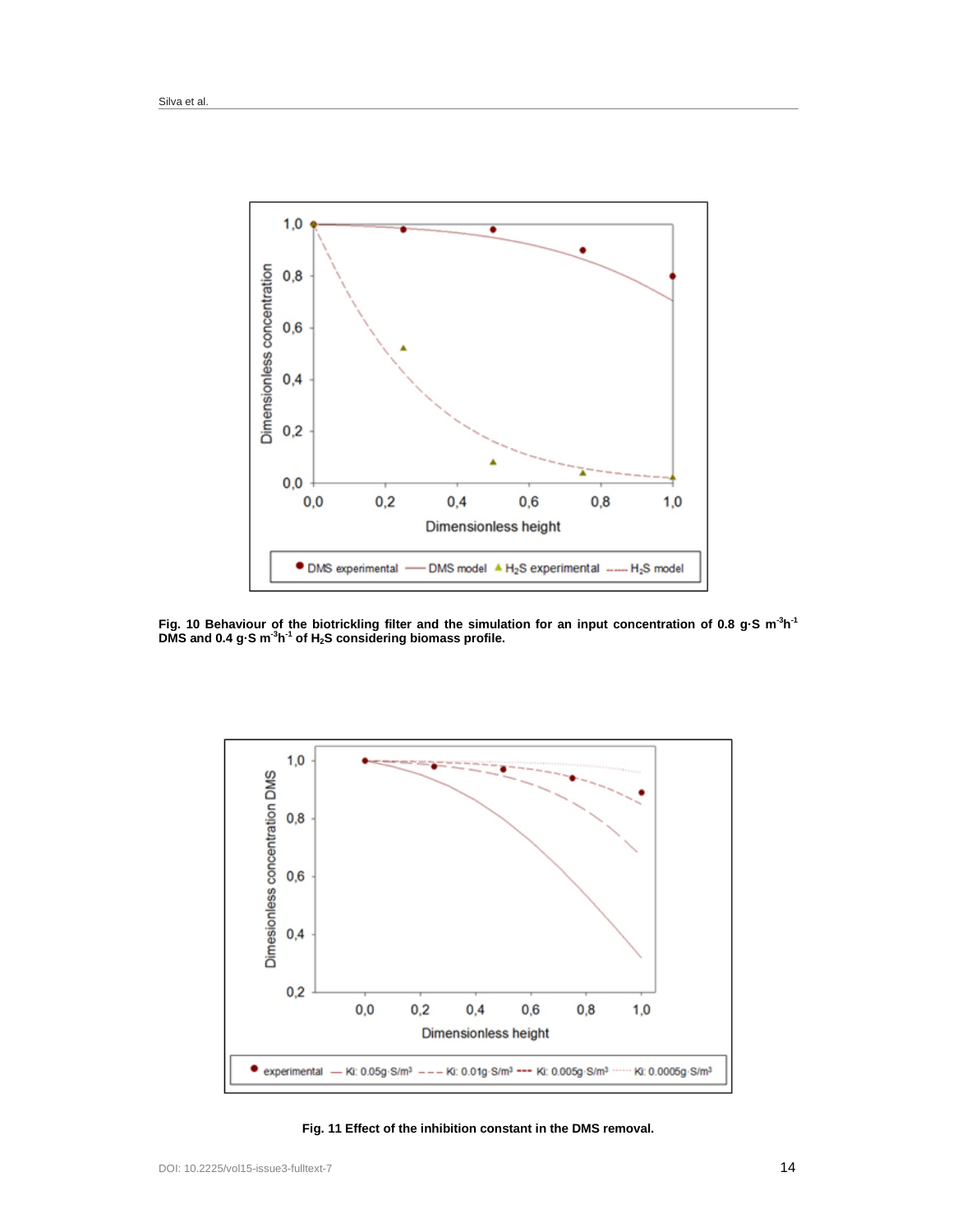

**Fig. 10 Behaviour of the biotrickling filter and the simulation for an input concentration of 0.8 g·S m-3 h-1 DMS and 0.4 g·S m-3 h-1 of H2S considering biomass profile.**



**Fig. 11 Effect of the inhibition constant in the DMS removal.**